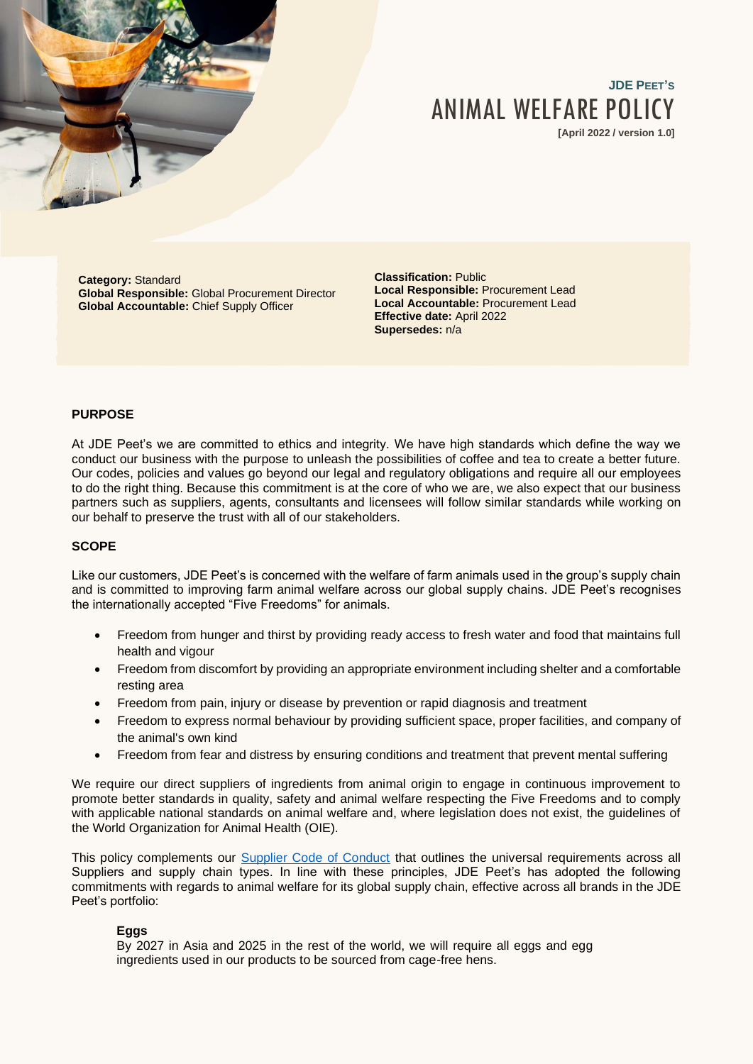

# **JDE PEET'S** ANIMAL WELFARE POLICY

**[April 2022 / version 1.0]**

**Category:** Standard **Global Responsible:** Global Procurement Director **Global Accountable:** Chief Supply Officer

**Classification:** Public **Local Responsible:** Procurement Lead **Local Accountable:** Procurement Lead **Effective date:** April 2022 **Supersedes:** n/a

## **PURPOSE**

At JDE Peet's we are committed to ethics and integrity. We have high standards which define the way we conduct our business with the purpose to unleash the possibilities of coffee and tea to create a better future. Our codes, policies and values go beyond our legal and regulatory obligations and require all our employees to do the right thing. Because this commitment is at the core of who we are, we also expect that our business partners such as suppliers, agents, consultants and licensees will follow similar standards while working on our behalf to preserve the trust with all of our stakeholders.

### **SCOPE**

Like our customers, JDE Peet's is concerned with the welfare of farm animals used in the group's supply chain and is committed to improving farm animal welfare across our global supply chains. JDE Peet's recognises the internationally accepted "Five Freedoms" for animals.

- Freedom from hunger and thirst by providing ready access to fresh water and food that maintains full health and vigour
- Freedom from discomfort by providing an appropriate environment including shelter and a comfortable resting area
- Freedom from pain, injury or disease by prevention or rapid diagnosis and treatment
- Freedom to express normal behaviour by providing sufficient space, proper facilities, and company of the animal's own kind
- Freedom from fear and distress by ensuring conditions and treatment that prevent mental suffering

We require our direct suppliers of ingredients from animal origin to engage in continuous improvement to promote better standards in quality, safety and animal welfare respecting the Five Freedoms and to comply with applicable national standards on animal welfare and, where legislation does not exist, the guidelines of the World Organization for Animal Health (OIE).

This policy complements our [Supplier Code of Conduct](https://www.jacobsdouweegberts.com/siteassets/cr/scoc-vs-5.2.pdf) that outlines the universal requirements across all Suppliers and supply chain types. In line with these principles, JDE Peet's has adopted the following commitments with regards to animal welfare for its global supply chain, effective across all brands in the JDE Peet's portfolio:

#### **Eggs**

By 2027 in Asia and 2025 in the rest of the world, we will require all eggs and egg ingredients used in our products to be sourced from cage-free hens.